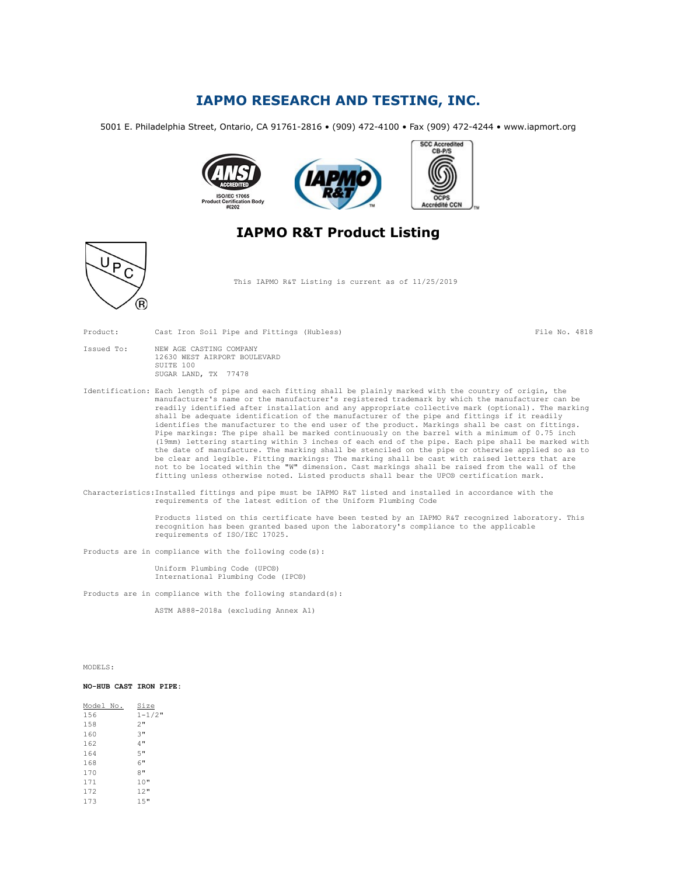## IAPMO RESEARCH AND TESTING, INC.

5001 E. Philadelphia Street, Ontario, CA 91761-2816 • (909) 472-4100 • Fax (909) 472-4244 • www.iapmort.org



## IAPMO R&T Product Listing



Product: Cast Iron Soil Pipe and Fittings (Hubless) File No. 4818

| Issued To: | NEW AGE CASTING COMPANY      |
|------------|------------------------------|
|            | 12630 WEST AIRPORT BOULEVARD |
|            | SUITE 100                    |
|            | SUGAR LAND, TX 77478         |

D  $\epsilon$ 

Identification: Each length of pipe and each fitting shall be plainly marked with the country of origin, the manufacturer's name or the manufacturer's registered trademark by which the manufacturer can be readily identified after installation and any appropriate collective mark (optional). The marking shall be adequate identification of the manufacturer of the pipe and fittings if it readily identifies the manufacturer to the end user of the product. Markings shall be cast on fittings. Pipe markings: The pipe shall be marked continuously on the barrel with a minimum of 0.75 inch (19mm) lettering starting within 3 inches of each end of the pipe. Each pipe shall be marked with the date of manufacture. The marking shall be stenciled on the pipe or otherwise applied so as to be clear and legible. Fitting markings: The marking shall be cast with raised letters that are not to be located within the "W" dimension. Cast markings shall be raised from the wall of the fitting unless otherwise noted. Listed products shall bear the UPC® certification mark.

Characteristics:Installed fittings and pipe must be IAPMO R&T listed and installed in accordance with the requirements of the latest edition of the Uniform Plumbing Code

> Products listed on this certificate have been tested by an IAPMO R&T recognized laboratory. This recognition has been granted based upon the laboratory's compliance to the applicable requirements of ISO/IEC 17025.

Products are in compliance with the following code(s):

Uniform Plumbing Code (UPC®) International Plumbing Code (IPC®)

Products are in compliance with the following standard(s):

ASTM A888-2018a (excluding Annex A1)

MODELS:

### NO-HUB CAST IRON PIPE:

| Model No. | Size        |
|-----------|-------------|
| 156       | $1 - 1/2$ " |
| 158       | 2"          |
| 160       | 3"          |
| 162       | 4 "         |
| 164       | 5"          |
| 168       | 6"          |
| 170       | 8"          |
| 171       | 10"         |
| 172       | 12"         |
| 173       | 1.5"        |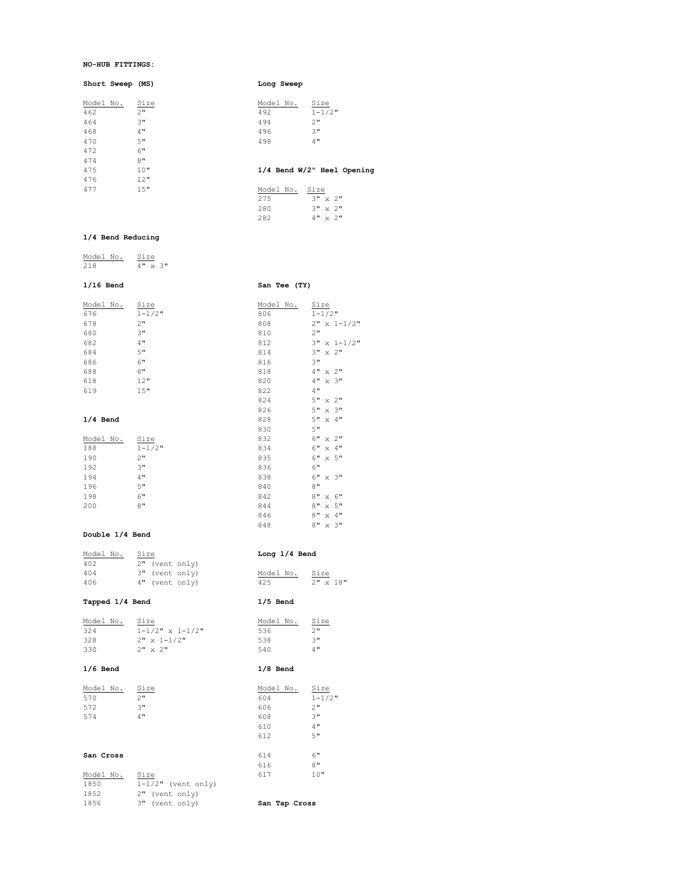### NO-HUB FITTINGS:

Short Sweep (MS) and Short Sweep (MS) and Sweep Long Sweep

| Model No. | Size | Size<br>Model No.    |
|-----------|------|----------------------|
| 462       | 2"   | $1 - 1/2$ "<br>492   |
| 464       | 3"   | 2"<br>494            |
| 468       | 4"   | 3"<br>496            |
| 470       | 5"   | 498<br>4"            |
| 472       | 6"   |                      |
| 474       | 8"   |                      |
| 475       | 10"  | $1/4$ Bend W/2" Heel |
| 476       | 12"  |                      |
| 477       | 15"  | Model No.<br>Size    |

## el Opening

| Model No. | Size             |
|-----------|------------------|
| 275       | $3" \times 2"$   |
| 280       | $3'' \times 2''$ |
| 282       | 4" x 2"          |

8" x 3"

 $\frac{\text{Size}}{2^n}$ <br> $\frac{3}{4}$ 

## 1/4 Bend Reducing

| Model No | S17e |              |       |
|----------|------|--------------|-------|
| 21 R     | ⊿ 11 | $\mathbf{v}$ | ्रम । |

## 1/16 Bend San Tee (TY)

| Model No.  | Size        | Model No. | Size               |
|------------|-------------|-----------|--------------------|
| 676        | $1 - 1/2$ " | 806       | $1 - 1/2$ "        |
| 678        | 2"          | 808       | $2" x 1-1/2"$      |
| 680        | 3"          | 810       | 2"                 |
| 682        | 4"          | 812       | $3" x 1-1/2"$      |
| 684        | 5"          | 814       | $3" \times 2"$     |
| 686        | 6"          | 816       | 3"                 |
| 688        | 8"          | 818       | $4" \times 2"$     |
| 618        | 12"         | 820       | $4" \times 3"$     |
| 619        | 15"         | 822       | 4"                 |
|            |             | 824       | $5" \times 2"$     |
|            |             | 826       | 5" x 3"            |
| $1/4$ Bend |             | 828       | 5" x 4"            |
|            |             | 830       | 5"                 |
| Model No.  | Size        | 832       | $6"$ x $2"$        |
| 188        | $1 - 1/2$ " | 834       | $6" \times 4"$     |
| 190        | 2"          | 835       | $6"$ $\times$ $5"$ |
| 192        | 3"          | 836       | 6"                 |
| 194        | 4"          | 838       | $6"$ $\times$ $3"$ |
| 196        | 5"          | 840       | 8"                 |
| 198        | 6"          | 842       | $8" \times 6"$     |
| 200        | 8"          | 844       | $8" \times 5"$     |
|            |             | 846       | 8" x 4"            |

## Double 1/4 Bend

| Model No. | Size           | Long $1/4$ Bend        |
|-----------|----------------|------------------------|
| 402       | 2" (vent only) |                        |
| 404       | 3" (vent only) | Size<br>Model No.      |
| 406       | 4" (vent only) | $2" \times 18"$<br>425 |

## Tapped 1/4 Bend 1/5 Bend

| 324<br>328<br>330 | $1 - 1/2$ " x $1 - 1/2$ "<br>$2" x 1-1/2"$<br>$2" \times 2"$ | 536<br>538<br>540 | 2 <sub>11</sub><br>3"<br>4" |
|-------------------|--------------------------------------------------------------|-------------------|-----------------------------|
| $1/6$ Bend        |                                                              | $1/8$ Bend        |                             |
| Model No.         | Size                                                         | Model No.         | Siz                         |

| Model No. | Size | Model No. | Size        |
|-----------|------|-----------|-------------|
| 570       | 2"   | 604       | $1 - 1/2$ " |
| 572       | 3"   | 606       | 2"          |
| 574       | 4"   | 608       | 3"          |
|           |      | 610       | 4"          |
|           |      | 612       | 5"          |
| San Cross |      | 614       | 6"          |
|           |      | 616       | 8"          |
| Model No. | Size | 617       | 10"         |

| San Cross |                      | 614           | 6"  |
|-----------|----------------------|---------------|-----|
|           |                      | 616           | 8"  |
| Model No. | Size                 | 617           | 10" |
| 1850      | $1-1/2"$ (vent only) |               |     |
| 1852      | 2" (vent only)       |               |     |
| 1856      | 3" (vent only)       | San Tap Cross |     |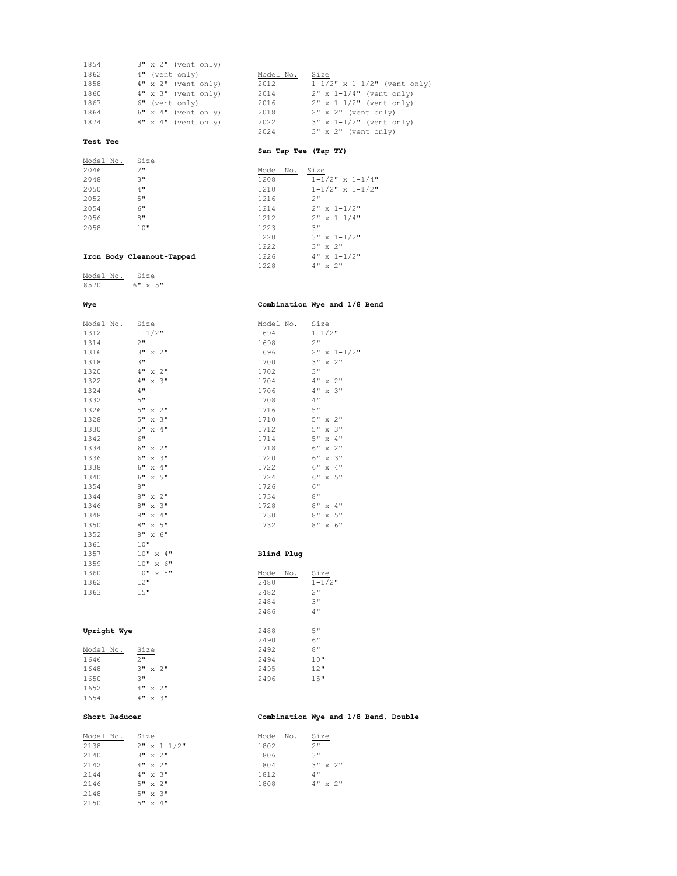| <b>Test Tee</b> |                         |           |                                       |
|-----------------|-------------------------|-----------|---------------------------------------|
|                 |                         | 2024      | 3" x 2" (vent only)                   |
| 1874            | $8" x 4"$ (vent only)   | 2022      | $3" x 1-1/2"$ (vent only)             |
| 1864            | $6"$ x $4"$ (vent only) | 2018      | $2" x 2"$ (vent only)                 |
| 1867            | 6" (vent only)          | 2016      | $2" x 1-1/2"$ (vent only)             |
| 1860            | $4"$ x $3"$ (vent only) | 2014      | $2" x 1-1/4"$ (vent only)             |
| 1858            | $4" x 2"$ (vent only)   | 2012      | $1 - 1/2$ " x $1 - 1/2$ " (vent only) |
| 1862            | 4" (vent only)          | Model No. | Size                                  |
| 1854            | $3" x 2"$ (vent only)   |           |                                       |
|                 |                         |           |                                       |

## San Tap Tee (Tap TY)

| Model No. | Size |           |                           |
|-----------|------|-----------|---------------------------|
| 2046      | 2"   | Model No. | Size                      |
| 2048      | 3"   | 1208      | $1 - 1/2$ " x $1 - 1/4$ " |
| 2050      | 4"   | 1210      | $1 - 1/2$ " x $1 - 1/2$ " |
| 2052      | 5"   | 1216      | 2"                        |
| 2054      | 6"   | 1214      | $2" \times 1 - 1/2"$      |
| 2056      | 8"   | 1212      | $2" \times 1 - 1/4"$      |
| 2058      | 10"  | 1223      | 3"                        |
|           |      | 1220      | $211 - 121$               |

# $\begin{array}{lll} \texttt{-1} & \texttt{2" x 1-1/2"} \\ \texttt{1212} & \texttt{2" x 1-1/4"} \\ \texttt{1223} & \texttt{3"} \end{array}$  3" x 1-1/2" 3" x 2" 4" x 2"

## $\begin{tabular}{cc} \bf Iron Body Cleanout-Tapped & & & & 1226 \\ \bf & & & 1228 \end{tabular}$

Model No. Size 6" x 5"

## Wye Combination Wye and 1/8 Bend

| Model No.   | Size               | Model No.  | Size                |
|-------------|--------------------|------------|---------------------|
| 1312        | $1 - 1/2$ "        | 1694       | $1 - 1/2$ "         |
| 1314        | 2"                 | 1698       | 2"                  |
| 1316        | $3" \times 2"$     | 1696       | $2" x 1-1/2"$       |
| 1318        | 3"                 | 1700       | $3" \times 2"$      |
| 1320        | $4" \times 2"$     | 1702       | 3"                  |
| 1322        | $4" \times 3"$     | 1704       | $4" \times 2"$      |
| 1324        | 4"                 | 1706       | $4" \times 3"$      |
| 1332        | 5"                 | 1708       | 4"                  |
| 1326        | $5" \times 2"$     | 1716       | 5"                  |
| 1328        | $5" \times 3"$     | 1710       | $5" \times 2"$      |
| 1330        | $5" \times 4"$     | 1712       | 5"<br>$x \cdot 3$ " |
| 1342        | 6"                 | 1714       | $\times$ 4"<br>5"   |
| 1334        | $6" \times 2"$     | 1718       | 6"<br>$x \t2$ "     |
| 1336        | $6"$ $\times$ $3"$ | 1720       | 6"<br>$x \cdot 3$ " |
| 1338        | $6"$ $\times$ $4"$ | 1722       | 6"<br>$x \cdot 4$ " |
| 1340        | $6"$ $\times$ $5"$ | 1724       | 6"<br>x 5"          |
| 1354        | 8"                 | 1726       | 6"                  |
| 1344        | $8" \times 2"$     | 1734       | 8"                  |
| 1346        | $8" \times 3"$     | 1728       | 8" x 4"             |
| 1348        | 8" x 4"            | 1730       | x 5"<br>8"          |
| 1350        | $8" \times 5"$     | 1732       | $8" \times 6"$      |
| 1352        | $8" \times 6"$     |            |                     |
| 1361        | 10"                |            |                     |
| 1357        | 10" x 4"           | Blind Plug |                     |
| 1359        | 10" x 6"           |            |                     |
| 1360        | 10" x 8"           | Model No.  | Size                |
| 1362        | 12"                | 2480       | $1 - 1/2$ "         |
| 1363        | 15"                | 2482       | 2"                  |
|             |                    | 2484       | 3"                  |
|             |                    | 2486       | 4"                  |
| Upright Wye |                    | 2488       | 5"                  |
|             |                    | 0.100      |                     |

| 94              | 4" |              | x 2"          |  |
|-----------------|----|--------------|---------------|--|
| 6               | 4" |              | $x \in 3$ "   |  |
| 3 <sup>0</sup>  | 4" |              |               |  |
| L6              | 5" |              |               |  |
| LO              | 5" |              | $x \quad 2$ " |  |
| $\overline{2}$  | 5" |              | $x \cdot 3$ " |  |
| L 4             | 5" | $\mathbf{x}$ | 4"            |  |
| L8              | 6" |              | $x \quad 2$ " |  |
| 20              | 6" |              | $x \cdot 3$ " |  |
| $^{22}$         | 6" |              | $x \quad 4$ " |  |
| 24              | 6" |              | x 5"          |  |
| 26              | 6" |              |               |  |
| $\frac{3}{4}$   | 8" |              |               |  |
| 28              | 8" |              | $x \, 4$ "    |  |
| 30              | 8" | $\mathbf{x}$ | 5"            |  |
| $\overline{32}$ | 8" | $\mathbf{x}$ | 6"            |  |
|                 |    |              |               |  |

## Blind Plug

| 1360        | 10" x 8"                                     | Model No. | Size        |
|-------------|----------------------------------------------|-----------|-------------|
| 1362        | 12"                                          | 2480      | $1 - 1/2$ " |
| 1363        | 15"                                          | 2482      | 2"          |
|             |                                              | 2484      | 3"          |
|             |                                              | 2486      | 4"          |
|             |                                              |           |             |
| Upright Wye |                                              | 2488      | 5"          |
|             |                                              | 2490      | 6"          |
| Model No.   | Size                                         | 2492      | 8"          |
| 1646        | 2"                                           | 2494      | 10"         |
| 1648        | $3" \times 2"$                               | 2495      | 12"         |
| 1650        | 3"                                           | 2496      | 15"         |
| 1652        | $\overline{AB}$ $\rightarrow$ $\overline{2}$ |           |             |

## Model No. 2178

| Model No. | Size                  |
|-----------|-----------------------|
| 1646      | 2"                    |
| 1648      | 3"<br>$x \rightarrow$ |
| 1650      | ٦.                    |
| 1652      | $x \t2$ "<br>4 "      |
| 1654      | $\times 3"$<br>4 "    |
|           |                       |

5" x 4"

## Short Reducer Combination Wye and 1/8 Bend, Double

| Model No. | Size             | Model No. | Size           |
|-----------|------------------|-----------|----------------|
| 2138      | $2" x 1-1/2"$    | 1802      | 2"             |
| 2140      | $3'' \times 2''$ | 1806      | 3"             |
| 2142      | $4" \times 2"$   | 1804      | $3" \times 2"$ |
| 2144      | $4" \times 3"$   | 1812      | 4"             |
| 2146      | $5" \times 2"$   | 1808      | $4" \times 2"$ |
| 2148      | $5" \times 3"$   |           |                |